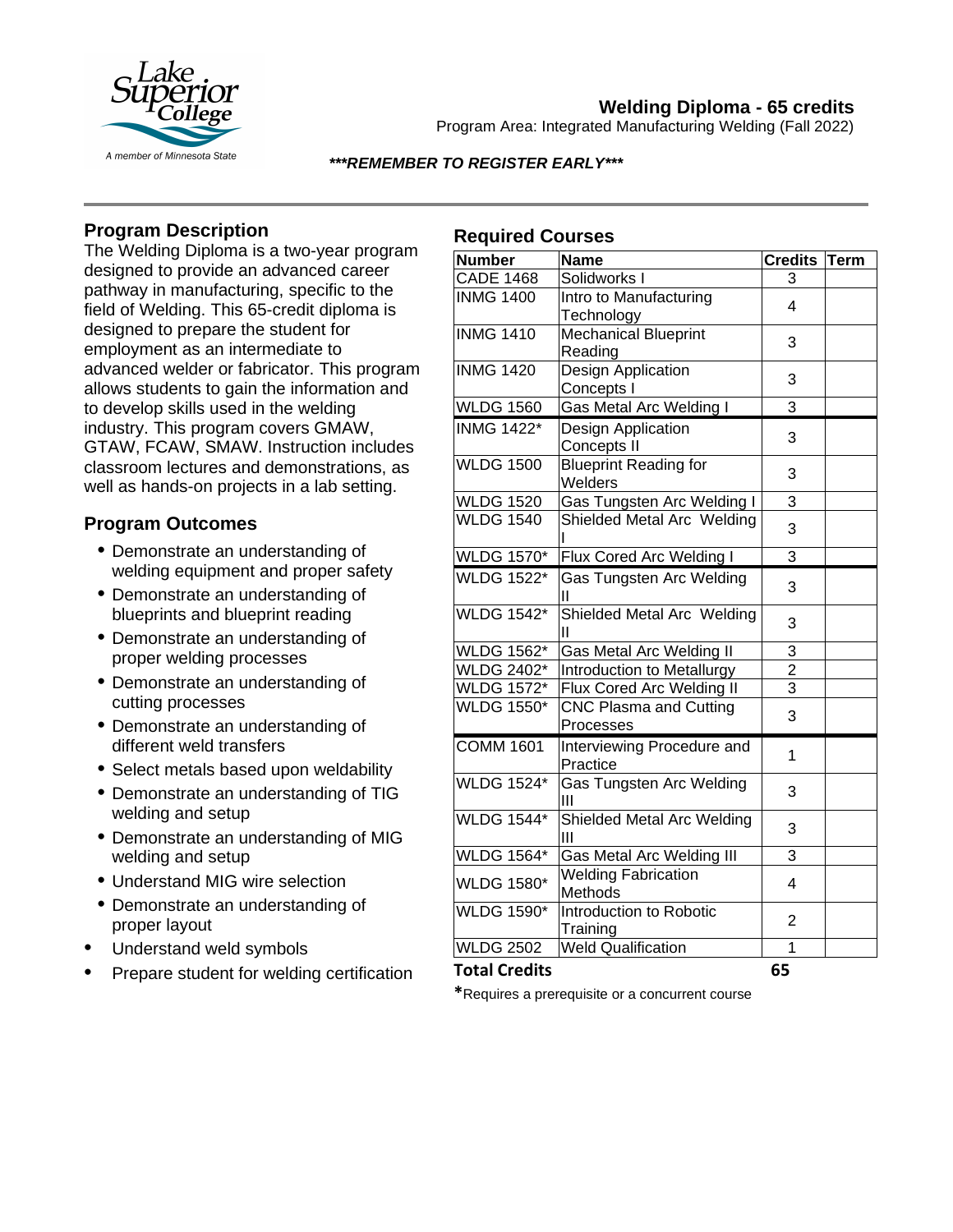

# **Welding Diploma - 65 credits**

Program Area: Integrated Manufacturing Welding (Fall 2022)

### *\*\*\*REMEMBER TO REGISTER EARLY\*\*\**

# **Program Description**

The Welding Diploma is a two-year program designed to provide an advanced career pathway in manufacturing, specific to the field of Welding. This 65-credit diploma is designed to prepare the student for employment as an intermediate to advanced welder or fabricator. This program allows students to gain the information and to develop skills used in the welding industry. This program covers GMAW, GTAW, FCAW, SMAW. Instruction includes classroom lectures and demonstrations, as well as hands-on projects in a lab setting.

# **Program Outcomes**

- Demonstrate an understanding of welding equipment and proper safety
- Demonstrate an understanding of blueprints and blueprint reading
- Demonstrate an understanding of proper welding processes
- Demonstrate an understanding of cutting processes
- Demonstrate an understanding of different weld transfers
- Select metals based upon weldability
- Demonstrate an understanding of TIG welding and setup
- Demonstrate an understanding of MIG welding and setup
- Understand MIG wire selection
- Demonstrate an understanding of proper layout
- Understand weld symbols
- Prepare student for welding certification

# **Required Courses**

| <b>Number</b>        | <b>Name</b>                   | <b>Credits</b> | Term |
|----------------------|-------------------------------|----------------|------|
| <b>CADE 1468</b>     | Solidworks I                  | 3              |      |
| <b>INMG 1400</b>     | Intro to Manufacturing        | 4              |      |
|                      | Technology                    |                |      |
| <b>INMG 1410</b>     | <b>Mechanical Blueprint</b>   | 3              |      |
|                      | Reading                       |                |      |
| <b>INMG 1420</b>     | Design Application            | 3              |      |
|                      | Concepts I                    |                |      |
| <b>WLDG 1560</b>     | Gas Metal Arc Welding I       | 3              |      |
| <b>INMG 1422*</b>    | Design Application            | 3              |      |
|                      | Concepts II                   |                |      |
| <b>WLDG 1500</b>     | <b>Blueprint Reading for</b>  | 3              |      |
|                      | Welders                       |                |      |
| <b>WLDG 1520</b>     | Gas Tungsten Arc Welding I    | 3              |      |
| <b>WLDG 1540</b>     | Shielded Metal Arc Welding    | 3              |      |
|                      |                               |                |      |
| <b>WLDG 1570*</b>    | Flux Cored Arc Welding I      | 3              |      |
| <b>WLDG</b> 1522*    | Gas Tungsten Arc Welding      | 3              |      |
|                      | Ш                             |                |      |
| <b>WLDG 1542*</b>    | Shielded Metal Arc Welding    | 3              |      |
|                      | Ш                             |                |      |
| <b>WLDG 1562*</b>    | Gas Metal Arc Welding II      | 3              |      |
| <b>WLDG 2402*</b>    | Introduction to Metallurgy    | $\overline{2}$ |      |
| <b>WLDG 1572*</b>    | Flux Cored Arc Welding II     | $\overline{3}$ |      |
| <b>WLDG 1550*</b>    | <b>CNC Plasma and Cutting</b> | 3              |      |
|                      | Processes                     |                |      |
| <b>COMM 1601</b>     | Interviewing Procedure and    | 1              |      |
|                      | Practice                      |                |      |
| <b>WLDG 1524*</b>    | Gas Tungsten Arc Welding      | 3              |      |
|                      | Ш                             |                |      |
| <b>WLDG 1544*</b>    | Shielded Metal Arc Welding    | 3              |      |
|                      | Ш                             |                |      |
| <b>WLDG 1564*</b>    | Gas Metal Arc Welding III     | 3              |      |
| <b>WLDG 1580*</b>    | <b>Welding Fabrication</b>    | 4              |      |
|                      | Methods                       |                |      |
| <b>WLDG 1590*</b>    | Introduction to Robotic       | $\overline{2}$ |      |
|                      | Training                      |                |      |
| <b>WLDG 2502</b>     | <b>Weld Qualification</b>     | 1              |      |
| <b>Total Credits</b> |                               | 65             |      |

**\***Requires a prerequisite or a concurrent course